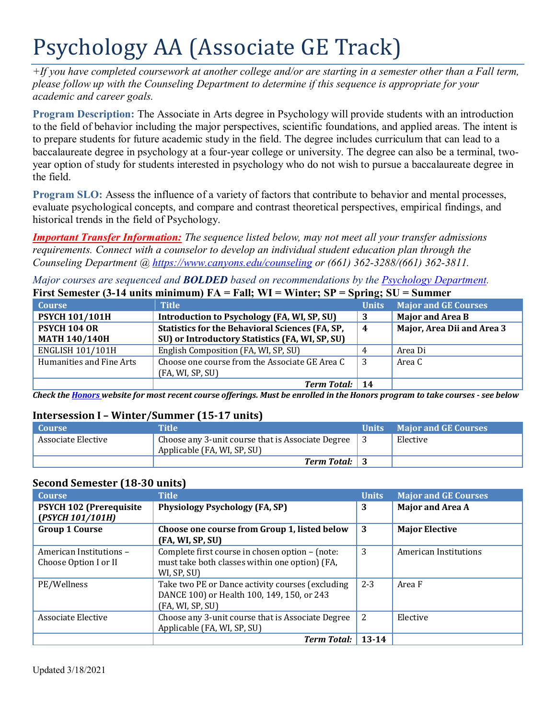# Psychology AA (Associate GE Track)

*+If you have completed coursework at another college and/or are starting in a semester other than a Fall term, please follow up with the Counseling Department to determine if this sequence is appropriate for your academic and career goals.* 

**Program Description:** The Associate in Arts degree in Psychology will provide students with an introduction to the field of behavior including the major perspectives, scientific foundations, and applied areas. The intent is to prepare students for future academic study in the field. The degree includes curriculum that can lead to a baccalaureate degree in psychology at a four-year college or university. The degree can also be a terminal, twoyear option of study for students interested in psychology who do not wish to pursue a baccalaureate degree in the field.

**Program SLO:** Assess the influence of a variety of factors that contribute to behavior and mental processes, evaluate psychological concepts, and compare and contrast theoretical perspectives, empirical findings, and historical trends in the field of Psychology.

*Important Transfer Information: The sequence listed below, may not meet all your transfer admissions requirements. Connect with a counselor to develop an individual student education plan through the Counseling Department @<https://www.canyons.edu/counseling> or (661) 362-3288/(661) 362-3811.*

*Major courses are sequenced and BOLDED based on recommendations by the [Psychology Department.](http://www.canyons.edu/psychology)*  **First Semester (3-14 units minimum) FA = Fall; WI = Winter; SP = Spring; SU = Summer**

| <b>Course</b>            | $\mathbf{y}$ and $\mathbf{y}$ and $\mathbf{y}$ and $\mathbf{y}$ and $\mathbf{y}$ and $\mathbf{y}$ and $\mathbf{y}$ and $\mathbf{y}$<br><b>Title</b> | <b>Units</b> | <b>Major and GE Courses</b> |
|--------------------------|-----------------------------------------------------------------------------------------------------------------------------------------------------|--------------|-----------------------------|
| <b>PSYCH 101/101H</b>    | Introduction to Psychology (FA, WI, SP, SU)                                                                                                         | -3           | <b>Major and Area B</b>     |
| <b>PSYCH 104 OR</b>      | <b>Statistics for the Behavioral Sciences (FA, SP,</b>                                                                                              | 4            | Major, Area Dii and Area 3  |
| <b>MATH 140/140H</b>     | SU) or Introductory Statistics (FA, WI, SP, SU)                                                                                                     |              |                             |
| <b>ENGLISH 101/101H</b>  | English Composition (FA, WI, SP, SU)                                                                                                                | 4            | Area Di                     |
| Humanities and Fine Arts | Choose one course from the Associate GE Area C                                                                                                      | - 3          | Area C                      |
|                          | (FA, WI, SP, SU)                                                                                                                                    |              |                             |
|                          | <b>Term Total:</b> 14                                                                                                                               |              |                             |

*Check the [Honors w](https://www.canyons.edu/academics/honors/index.php)ebsite for most recent course offerings. Must be enrolled in the Honors program to take courses - see below*

# **Intersession I – Winter/Summer (15-17 units)**

| Course             | Title                                                                                          | <b>Units</b> | <b>Maior and GE Courses</b> |
|--------------------|------------------------------------------------------------------------------------------------|--------------|-----------------------------|
| Associate Elective | Choose any 3-unit course that is Associate Degree $\parallel$ 3<br>Applicable (FA, WI, SP, SU) |              | Elective                    |
|                    | <b>Term Total:</b> 3                                                                           |              |                             |

### **Second Semester (18-30 units)**

| <b>Course</b>                                      | <b>Title</b>                                                                                                       | <b>Units</b> | <b>Major and GE Courses</b> |
|----------------------------------------------------|--------------------------------------------------------------------------------------------------------------------|--------------|-----------------------------|
| <b>PSYCH 102 (Prerequisite</b><br>(PSYCH 101/101H) | <b>Physiology Psychology (FA, SP)</b>                                                                              | 3            | <b>Major and Area A</b>     |
| <b>Group 1 Course</b>                              | Choose one course from Group 1, listed below<br>(FA, WI, SP, SU)                                                   | 3            | <b>Major Elective</b>       |
| American Institutions -<br>Choose Option I or II   | Complete first course in chosen option - (note:<br>must take both classes within one option) (FA,<br>WI, SP, SU)   | 3            | American Institutions       |
| PE/Wellness                                        | Take two PE or Dance activity courses (excluding<br>DANCE 100) or Health 100, 149, 150, or 243<br>(FA, WI, SP, SU) | $2 - 3$      | Area F                      |
| Associate Elective                                 | Choose any 3-unit course that is Associate Degree<br>Applicable (FA, WI, SP, SU)                                   | 2            | Elective                    |
|                                                    | <b>Term Total:</b>                                                                                                 | $13 - 14$    |                             |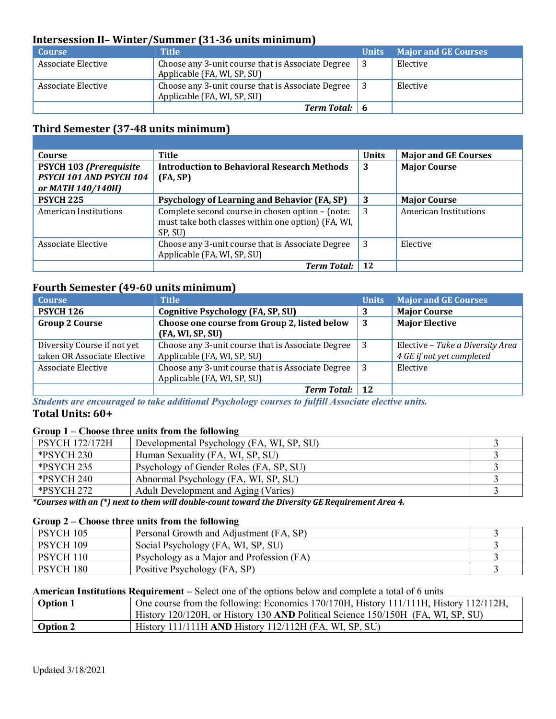## **Intersession II– Winter/Summer (31-36 units minimum)**

| <b>Course</b>      | Title                                                                                          | <b>Units</b> | <b>Major and GE Courses</b> |
|--------------------|------------------------------------------------------------------------------------------------|--------------|-----------------------------|
| Associate Elective | Choose any 3-unit course that is Associate Degree $\vert$ 3<br>Applicable (FA, WI, SP, SU)     |              | Elective                    |
| Associate Elective | Choose any 3-unit course that is Associate Degree $\parallel$ 3<br>Applicable (FA, WI, SP, SU) |              | Elective                    |
|                    | Term Total: 6                                                                                  |              |                             |

# **Third Semester (37-48 units minimum)**

| Course                         | Title                                                                                                             | <b>Units</b> | <b>Major and GE Courses</b> |
|--------------------------------|-------------------------------------------------------------------------------------------------------------------|--------------|-----------------------------|
| <b>PSYCH 103 (Prerequisite</b> | <b>Introduction to Behavioral Research Methods</b>                                                                | 3            | <b>Major Course</b>         |
| PSYCH 101 AND PSYCH 104        | (FA, SP)                                                                                                          |              |                             |
| or MATH 140/140H)              |                                                                                                                   |              |                             |
| <b>PSYCH 225</b>               | <b>Psychology of Learning and Behavior (FA, SP)</b>                                                               | 3            | <b>Major Course</b>         |
| American Institutions          | Complete second course in chosen option - (note:<br>must take both classes within one option) (FA, WI,<br>SP, SU) | 3            | American Institutions       |
| Associate Elective             | Choose any 3-unit course that is Associate Degree<br>Applicable (FA, WI, SP, SU)                                  | 3            | Elective                    |
|                                | <b>Term Total:</b>                                                                                                | 12           |                             |

# **Fourth Semester (49-60 units minimum)**

| <b>Course</b>               | <b>Title</b>                                      | <b>Units</b> | <b>Major and GE Courses</b>      |
|-----------------------------|---------------------------------------------------|--------------|----------------------------------|
| <b>PSYCH 126</b>            | <b>Cognitive Psychology (FA, SP, SU)</b>          | 3            | <b>Major Course</b>              |
| <b>Group 2 Course</b>       | Choose one course from Group 2, listed below      | -3           | <b>Major Elective</b>            |
|                             | (FA, WI, SP, SU)                                  |              |                                  |
| Diversity Course if not yet | Choose any 3-unit course that is Associate Degree | -3           | Elective - Take a Diversity Area |
| taken OR Associate Elective | Applicable (FA, WI, SP, SU)                       |              | 4 GE if not yet completed        |
| Associate Elective          | Choose any 3-unit course that is Associate Degree | -3           | Elective                         |
|                             | Applicable (FA, WI, SP, SU)                       |              |                                  |
|                             | <b>Term Total:</b>                                |              |                                  |

*Students are encouraged to take additional Psychology courses to fulfill Associate elective units.*  **Total Units: 60+**

#### **Group 1 – Choose three units from the following**

| <b>PSYCH 172/172H</b> | Developmental Psychology (FA, WI, SP, SU) |  |
|-----------------------|-------------------------------------------|--|
| *PSYCH 230            | Human Sexuality (FA, WI, SP, SU)          |  |
| $*$ PSYCH 235         | Psychology of Gender Roles (FA, SP, SU)   |  |
| *PSYCH 240            | Abnormal Psychology (FA, WI, SP, SU)      |  |
| *PSYCH 272            | Adult Development and Aging (Varies)      |  |

*\*Courses with an (\*) next to them will double-count toward the Diversity GE Requirement Area 4.* 

#### **Group 2 – Choose three units from the following**

| PSYCH 105 | Personal Growth and Adjustment (FA, SP)   |  |
|-----------|-------------------------------------------|--|
| PSYCH 109 | Social Psychology (FA, WI, SP, SU)        |  |
| PSYCH 110 | Psychology as a Major and Profession (FA) |  |
| PSYCH 180 | Positive Psychology (FA, SP)              |  |

**American Institutions Requirement –** Select one of the options below and complete a total of 6 units

| <b>Option 1</b> | One course from the following: Economics 170/170H, History 111/111H, History 112/112H, |
|-----------------|----------------------------------------------------------------------------------------|
|                 | History 120/120H, or History 130 AND Political Science 150/150H (FA, WI, SP, SU)       |
| <b>Option 2</b> | $History 111/111H AND History 112/112H (FA, WI, SP, SU)$                               |